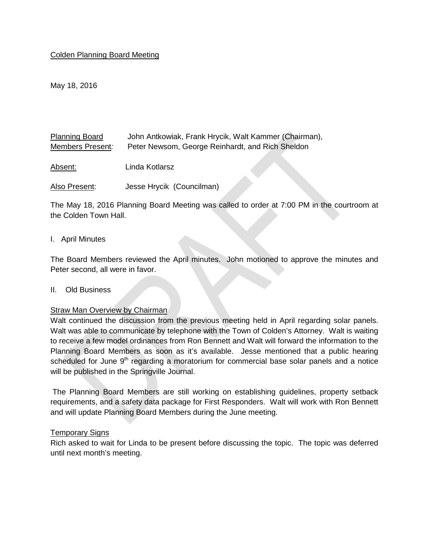### Colden Planning Board Meeting

May 18, 2016

Planning Board Members Present*:*  John Antkowiak, Frank Hrycik, Walt Kammer (Chairman), Peter Newsom, George Reinhardt, and Rich Sheldon

Absent: Linda Kotlarsz

Also Present: Jesse Hrycik (Councilman)

The May 18, 2016 Planning Board Meeting was called to order at 7:00 PM in the courtroom at the Colden Town Hall.

#### I. April Minutes

The Board Members reviewed the April minutes. John motioned to approve the minutes and Peter second, all were in favor.

#### II. Old Business

#### Straw Man Overview by Chairman

Walt continued the discussion from the previous meeting held in April regarding solar panels. Walt was able to communicate by telephone with the Town of Colden's Attorney. Walt is waiting to receive a few model ordinances from Ron Bennett and Walt will forward the information to the Planning Board Members as soon as it's available. Jesse mentioned that a public hearing scheduled for June  $9<sup>th</sup>$  regarding a moratorium for commercial base solar panels and a notice will be published in the Springville Journal.

The Planning Board Members are still working on establishing guidelines, property setback requirements, and a safety data package for First Responders. Walt will work with Ron Bennett and will update Planning Board Members during the June meeting.

#### Temporary Signs

Rich asked to wait for Linda to be present before discussing the topic. The topic was deferred until next month's meeting.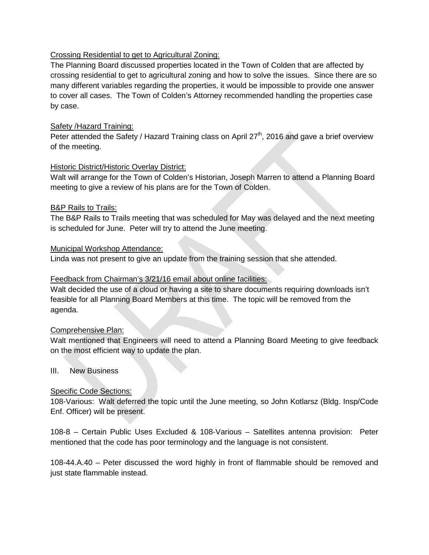# Crossing Residential to get to Agricultural Zoning:

The Planning Board discussed properties located in the Town of Colden that are affected by crossing residential to get to agricultural zoning and how to solve the issues. Since there are so many different variables regarding the properties, it would be impossible to provide one answer to cover all cases. The Town of Colden's Attorney recommended handling the properties case by case.

## Safety /Hazard Training:

Peter attended the Safety / Hazard Training class on April  $27<sup>th</sup>$ , 2016 and gave a brief overview of the meeting.

## Historic District/Historic Overlay District:

Walt will arrange for the Town of Colden's Historian, Joseph Marren to attend a Planning Board meeting to give a review of his plans are for the Town of Colden.

## B&P Rails to Trails:

The B&P Rails to Trails meeting that was scheduled for May was delayed and the next meeting is scheduled for June. Peter will try to attend the June meeting.

## Municipal Workshop Attendance:

Linda was not present to give an update from the training session that she attended.

# Feedback from Chairman's 3/21/16 email about online facilities:

Walt decided the use of a cloud or having a site to share documents requiring downloads isn't feasible for all Planning Board Members at this time. The topic will be removed from the agenda.

### Comprehensive Plan:

Walt mentioned that Engineers will need to attend a Planning Board Meeting to give feedback on the most efficient way to update the plan.

### III. New Business

# Specific Code Sections:

108-Various: Walt deferred the topic until the June meeting, so John Kotlarsz (Bldg. Insp/Code Enf. Officer) will be present.

108-8 – Certain Public Uses Excluded & 108-Various – Satellites antenna provision: Peter mentioned that the code has poor terminology and the language is not consistent.

108-44.A.40 – Peter discussed the word highly in front of flammable should be removed and just state flammable instead.